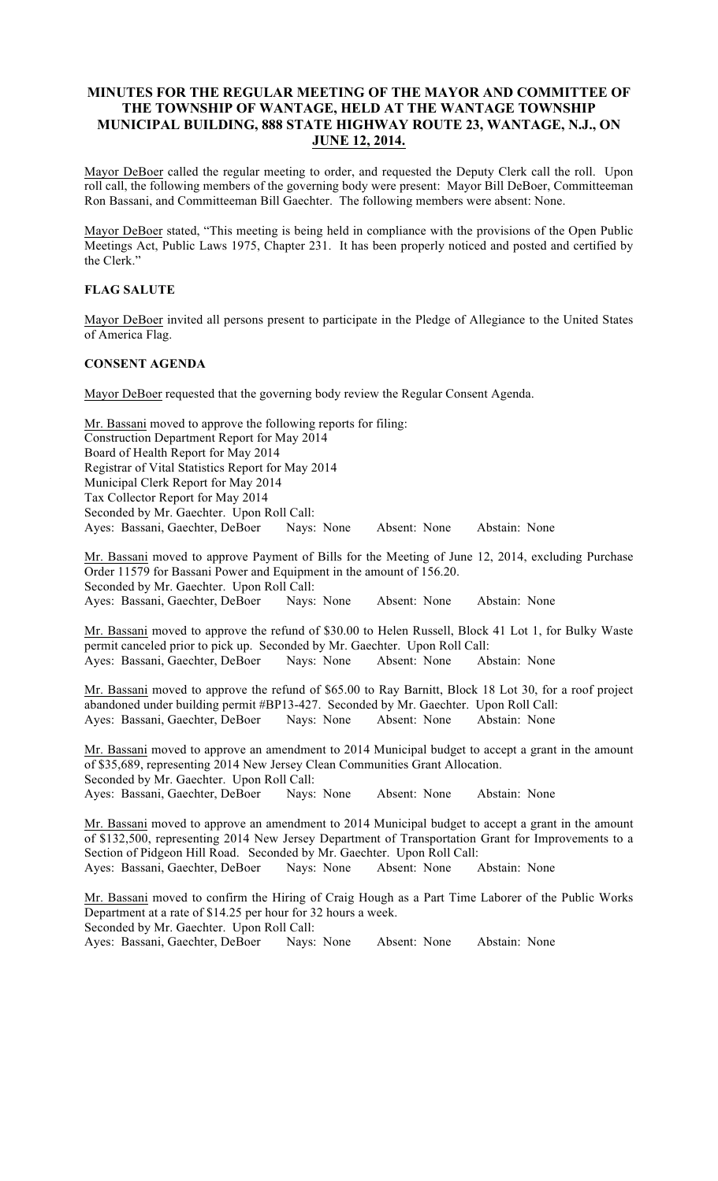# MINUTES FOR THE REGULAR MEETING OF THE MAYOR AND COMMITTEE OF THE TOWNSHIP OF WANTAGE, HELD AT THE WANTAGE TOWNSHIP MUNICIPAL BUILDING, 888 STATE HIGHWAY ROUTE 23, WANTAGE, N.J., ON JUNE 12, 2014.

Mayor DeBoer called the regular meeting to order, and requested the Deputy Clerk call the roll. Upon roll call, the following members of the governing body were present: Mayor Bill DeBoer, Committeeman Ron Bassani, and Committeeman Bill Gaechter. The following members were absent: None.

Mayor DeBoer stated, "This meeting is being held in compliance with the provisions of the Open Public Meetings Act, Public Laws 1975, Chapter 231. It has been properly noticed and posted and certified by the Clerk."

### FLAG SALUTE

Mayor DeBoer invited all persons present to participate in the Pledge of Allegiance to the United States of America Flag.

### CONSENT AGENDA

Mayor DeBoer requested that the governing body review the Regular Consent Agenda.

Mr. Bassani moved to approve the following reports for filing: Construction Department Report for May 2014 Board of Health Report for May 2014 Registrar of Vital Statistics Report for May 2014 Municipal Clerk Report for May 2014 Tax Collector Report for May 2014 Seconded by Mr. Gaechter. Upon Roll Call: Ayes: Bassani, Gaechter, DeBoer Nays: None Absent: None Abstain: None

Mr. Bassani moved to approve Payment of Bills for the Meeting of June 12, 2014, excluding Purchase Order 11579 for Bassani Power and Equipment in the amount of 156.20. Seconded by Mr. Gaechter. Upon Roll Call: Ayes: Bassani, Gaechter, DeBoer Nays: None Absent: None Abstain: None

Mr. Bassani moved to approve the refund of \$30.00 to Helen Russell, Block 41 Lot 1, for Bulky Waste permit canceled prior to pick up. Seconded by Mr. Gaechter. Upon Roll Call: Ayes: Bassani, Gaechter, DeBoer Nays: None Absent: None Abstain: None

Mr. Bassani moved to approve the refund of \$65.00 to Ray Barnitt, Block 18 Lot 30, for a roof project abandoned under building permit #BP13-427. Seconded by Mr. Gaechter. Upon Roll Call: Ayes: Bassani, Gaechter, DeBoer Nays: None Absent: None Abstain: None

Mr. Bassani moved to approve an amendment to 2014 Municipal budget to accept a grant in the amount of \$35,689, representing 2014 New Jersey Clean Communities Grant Allocation. Seconded by Mr. Gaechter. Upon Roll Call: Ayes: Bassani, Gaechter, DeBoer Nays: None Absent: None Abstain: None

Mr. Bassani moved to approve an amendment to 2014 Municipal budget to accept a grant in the amount of \$132,500, representing 2014 New Jersey Department of Transportation Grant for Improvements to a Section of Pidgeon Hill Road. Seconded by Mr. Gaechter. Upon Roll Call: Ayes: Bassani, Gaechter, DeBoer Nays: None Absent: None Abstain: None

Mr. Bassani moved to confirm the Hiring of Craig Hough as a Part Time Laborer of the Public Works Department at a rate of \$14.25 per hour for 32 hours a week. Seconded by Mr. Gaechter. Upon Roll Call: Ayes: Bassani, Gaechter, DeBoer Nays: None Absent: None Abstain: None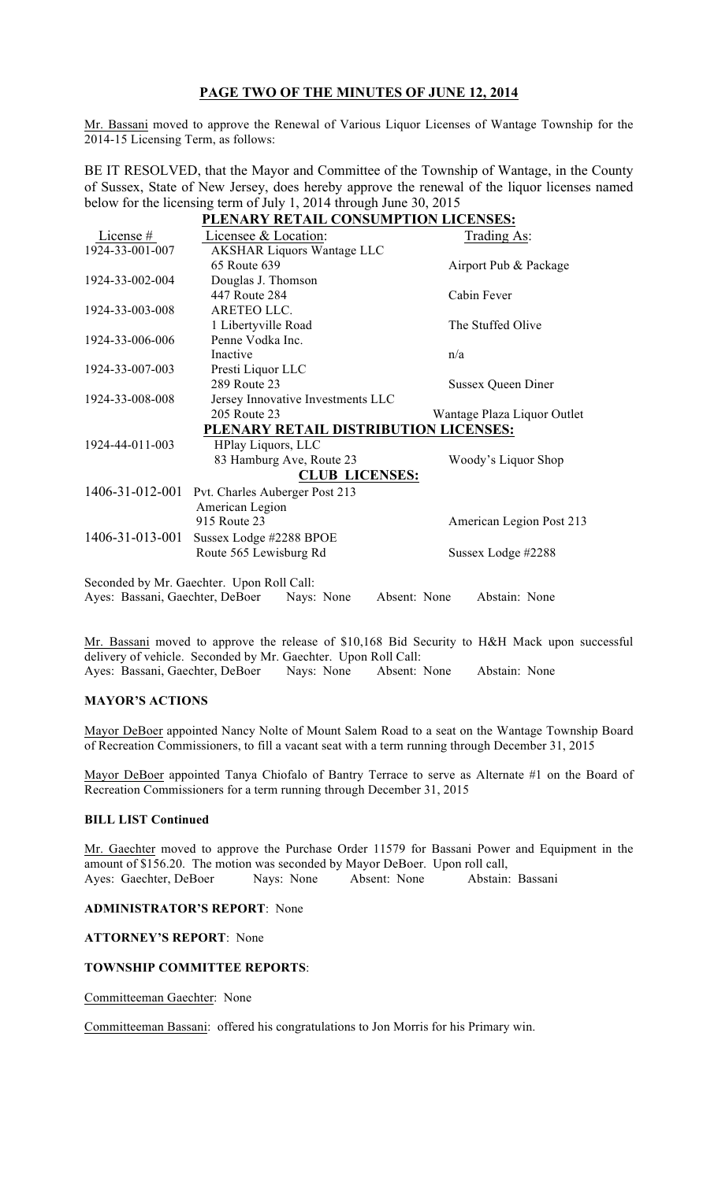# PAGE TWO OF THE MINUTES OF JUNE 12, 2014

Mr. Bassani moved to approve the Renewal of Various Liquor Licenses of Wantage Township for the 2014-15 Licensing Term, as follows:

BE IT RESOLVED, that the Mayor and Committee of the Township of Wantage, in the County of Sussex, State of New Jersey, does hereby approve the renewal of the liquor licenses named below for the licensing term of July 1, 2014 through June 30, 2015

| PLENARY RETAIL CONSUMPTION LICENSES: |                                           |                               |
|--------------------------------------|-------------------------------------------|-------------------------------|
| License #                            | Licensee & Location:                      | Trading As:                   |
| 1924-33-001-007                      | <b>AKSHAR Liquors Wantage LLC</b>         |                               |
|                                      | 65 Route 639                              | Airport Pub & Package         |
| 1924-33-002-004                      | Douglas J. Thomson                        |                               |
|                                      | 447 Route 284                             | Cabin Fever                   |
| 1924-33-003-008                      | ARETEO LLC.                               |                               |
|                                      | 1 Libertyville Road                       | The Stuffed Olive             |
| 1924-33-006-006                      | Penne Vodka Inc.                          |                               |
|                                      | Inactive                                  | n/a                           |
| 1924-33-007-003                      | Presti Liquor LLC                         |                               |
|                                      | 289 Route 23                              | <b>Sussex Queen Diner</b>     |
| 1924-33-008-008                      | Jersey Innovative Investments LLC         |                               |
|                                      | 205 Route 23                              | Wantage Plaza Liquor Outlet   |
|                                      | PLENARY RETAIL DISTRIBUTION LICENSES:     |                               |
| 1924-44-011-003                      | HPlay Liquors, LLC                        |                               |
|                                      | 83 Hamburg Ave, Route 23                  | Woody's Liquor Shop           |
|                                      | <b>CLUB LICENSES:</b>                     |                               |
| 1406-31-012-001                      | Pvt. Charles Auberger Post 213            |                               |
|                                      | American Legion                           |                               |
|                                      | 915 Route 23                              | American Legion Post 213      |
| 1406-31-013-001                      | Sussex Lodge #2288 BPOE                   |                               |
|                                      | Route 565 Lewisburg Rd                    | Sussex Lodge #2288            |
|                                      | Seconded by Mr. Gaechter. Upon Roll Call: |                               |
| Ayes: Bassani, Gaechter, DeBoer      | Nays: None                                | Absent: None<br>Abstain: None |
|                                      |                                           |                               |

Mr. Bassani moved to approve the release of \$10,168 Bid Security to H&H Mack upon successful delivery of vehicle. Seconded by Mr. Gaechter. Upon Roll Call: Ayes: Bassani, Gaechter, DeBoer Nays: None Absent: None Abstain: None

### MAYOR'S ACTIONS

Mayor DeBoer appointed Nancy Nolte of Mount Salem Road to a seat on the Wantage Township Board of Recreation Commissioners, to fill a vacant seat with a term running through December 31, 2015

Mayor DeBoer appointed Tanya Chiofalo of Bantry Terrace to serve as Alternate #1 on the Board of Recreation Commissioners for a term running through December 31, 2015

### BILL LIST Continued

Mr. Gaechter moved to approve the Purchase Order 11579 for Bassani Power and Equipment in the amount of \$156.20. The motion was seconded by Mayor DeBoer. Upon roll call, Ayes: Gaechter, DeBoer Nays: None Absent: None Abstain: Bassani

#### ADMINISTRATOR'S REPORT: None

ATTORNEY'S REPORT: None

### TOWNSHIP COMMITTEE REPORTS:

Committeeman Gaechter: None

Committeeman Bassani: offered his congratulations to Jon Morris for his Primary win.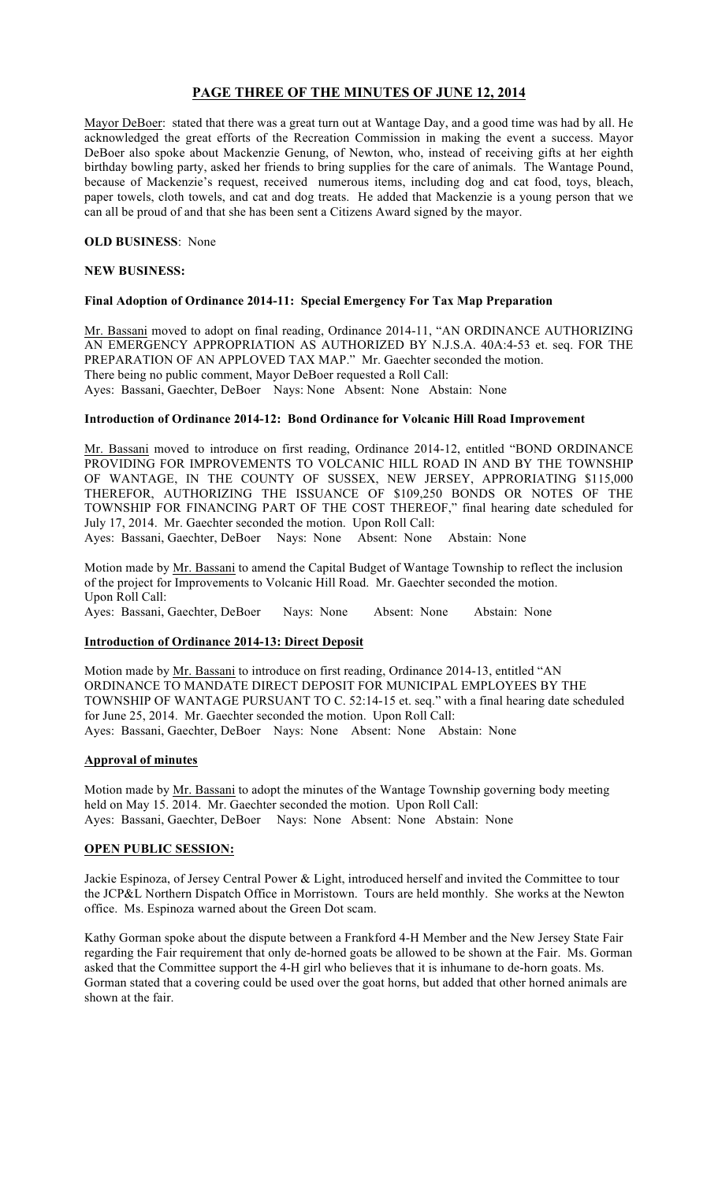# PAGE THREE OF THE MINUTES OF JUNE 12, 2014

Mayor DeBoer: stated that there was a great turn out at Wantage Day, and a good time was had by all. He acknowledged the great efforts of the Recreation Commission in making the event a success. Mayor DeBoer also spoke about Mackenzie Genung, of Newton, who, instead of receiving gifts at her eighth birthday bowling party, asked her friends to bring supplies for the care of animals. The Wantage Pound, because of Mackenzie's request, received numerous items, including dog and cat food, toys, bleach, paper towels, cloth towels, and cat and dog treats. He added that Mackenzie is a young person that we can all be proud of and that she has been sent a Citizens Award signed by the mayor.

### OLD BUSINESS: None

#### NEW BUSINESS:

### Final Adoption of Ordinance 2014-11: Special Emergency For Tax Map Preparation

Mr. Bassani moved to adopt on final reading, Ordinance 2014-11, "AN ORDINANCE AUTHORIZING AN EMERGENCY APPROPRIATION AS AUTHORIZED BY N.J.S.A. 40A:4-53 et. seq. FOR THE PREPARATION OF AN APPLOVED TAX MAP." Mr. Gaechter seconded the motion. There being no public comment, Mayor DeBoer requested a Roll Call: Ayes: Bassani, Gaechter, DeBoer Nays: None Absent: None Abstain: None

### Introduction of Ordinance 2014-12: Bond Ordinance for Volcanic Hill Road Improvement

Mr. Bassani moved to introduce on first reading, Ordinance 2014-12, entitled "BOND ORDINANCE PROVIDING FOR IMPROVEMENTS TO VOLCANIC HILL ROAD IN AND BY THE TOWNSHIP OF WANTAGE, IN THE COUNTY OF SUSSEX, NEW JERSEY, APPRORIATING \$115,000 THEREFOR, AUTHORIZING THE ISSUANCE OF \$109,250 BONDS OR NOTES OF THE TOWNSHIP FOR FINANCING PART OF THE COST THEREOF," final hearing date scheduled for July 17, 2014. Mr. Gaechter seconded the motion. Upon Roll Call:

Ayes: Bassani, Gaechter, DeBoer Nays: None Absent: None Abstain: None

Motion made by Mr. Bassani to amend the Capital Budget of Wantage Township to reflect the inclusion of the project for Improvements to Volcanic Hill Road. Mr. Gaechter seconded the motion. Upon Roll Call:

Ayes: Bassani, Gaechter, DeBoer Nays: None Absent: None Abstain: None

### Introduction of Ordinance 2014-13: Direct Deposit

Motion made by Mr. Bassani to introduce on first reading, Ordinance 2014-13, entitled "AN ORDINANCE TO MANDATE DIRECT DEPOSIT FOR MUNICIPAL EMPLOYEES BY THE TOWNSHIP OF WANTAGE PURSUANT TO C. 52:14-15 et. seq." with a final hearing date scheduled for June 25, 2014. Mr. Gaechter seconded the motion. Upon Roll Call: Ayes: Bassani, Gaechter, DeBoer Nays: None Absent: None Abstain: None

### Approval of minutes

Motion made by Mr. Bassani to adopt the minutes of the Wantage Township governing body meeting held on May 15. 2014. Mr. Gaechter seconded the motion. Upon Roll Call: Ayes: Bassani, Gaechter, DeBoer Nays: None Absent: None Abstain: None

### OPEN PUBLIC SESSION:

Jackie Espinoza, of Jersey Central Power & Light, introduced herself and invited the Committee to tour the JCP&L Northern Dispatch Office in Morristown. Tours are held monthly. She works at the Newton office. Ms. Espinoza warned about the Green Dot scam.

Kathy Gorman spoke about the dispute between a Frankford 4-H Member and the New Jersey State Fair regarding the Fair requirement that only de-horned goats be allowed to be shown at the Fair. Ms. Gorman asked that the Committee support the 4-H girl who believes that it is inhumane to de-horn goats. Ms. Gorman stated that a covering could be used over the goat horns, but added that other horned animals are shown at the fair.